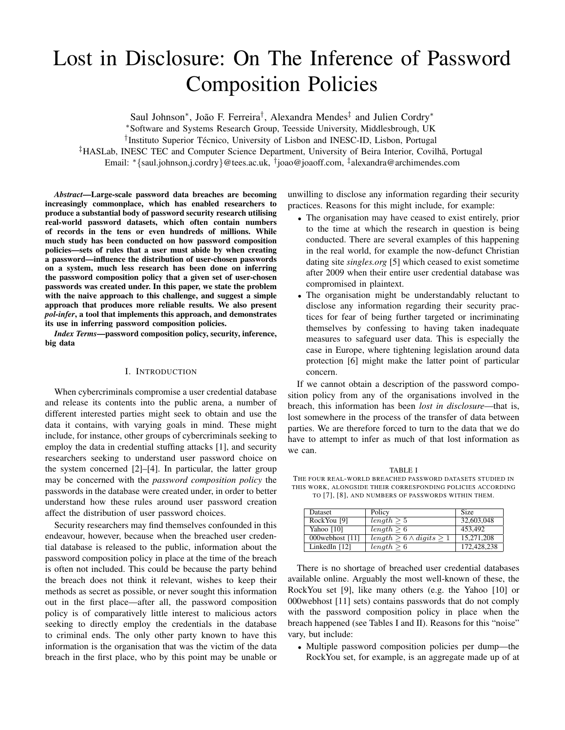# Lost in Disclosure: On The Inference of Password Composition Policies

Saul Johnson<sup>∗</sup>, João F. Ferreira<sup>†</sup>, Alexandra Mendes<sup>‡</sup> and Julien Cordry<sup>∗</sup>

<sup>∗</sup>Software and Systems Research Group, Teesside University, Middlesbrough, UK

<sup>†</sup>Instituto Superior Técnico, University of Lisbon and INESC-ID, Lisbon, Portugal

‡HASLab, INESC TEC and Computer Science Department, University of Beira Interior, Covilha, Portugal ˜

Email: <sup>∗</sup>{saul.johnson,j.cordry}@tees.ac.uk, † joao@joaoff.com, ‡ alexandra@archimendes.com

*Abstract*—Large-scale password data breaches are becoming increasingly commonplace, which has enabled researchers to produce a substantial body of password security research utilising real-world password datasets, which often contain numbers of records in the tens or even hundreds of millions. While much study has been conducted on how password composition policies—sets of rules that a user must abide by when creating a password—influence the distribution of user-chosen passwords on a system, much less research has been done on inferring the password composition policy that a given set of user-chosen passwords was created under. In this paper, we state the problem with the naive approach to this challenge, and suggest a simple approach that produces more reliable results. We also present *pol-infer*, a tool that implements this approach, and demonstrates its use in inferring password composition policies.

*Index Terms*—password composition policy, security, inference, big data

#### I. INTRODUCTION

When cybercriminals compromise a user credential database and release its contents into the public arena, a number of different interested parties might seek to obtain and use the data it contains, with varying goals in mind. These might include, for instance, other groups of cybercriminals seeking to employ the data in credential stuffing attacks [1], and security researchers seeking to understand user password choice on the system concerned [2]–[4]. In particular, the latter group may be concerned with the *password composition policy* the passwords in the database were created under, in order to better understand how these rules around user password creation affect the distribution of user password choices.

Security researchers may find themselves confounded in this endeavour, however, because when the breached user credential database is released to the public, information about the password composition policy in place at the time of the breach is often not included. This could be because the party behind the breach does not think it relevant, wishes to keep their methods as secret as possible, or never sought this information out in the first place—after all, the password composition policy is of comparatively little interest to malicious actors seeking to directly employ the credentials in the database to criminal ends. The only other party known to have this information is the organisation that was the victim of the data breach in the first place, who by this point may be unable or unwilling to disclose any information regarding their security practices. Reasons for this might include, for example:

- The organisation may have ceased to exist entirely, prior to the time at which the research in question is being conducted. There are several examples of this happening in the real world, for example the now-defunct Christian dating site *singles.org* [5] which ceased to exist sometime after 2009 when their entire user credential database was compromised in plaintext.
- The organisation might be understandably reluctant to disclose any information regarding their security practices for fear of being further targeted or incriminating themselves by confessing to having taken inadequate measures to safeguard user data. This is especially the case in Europe, where tightening legislation around data protection [6] might make the latter point of particular concern.

If we cannot obtain a description of the password composition policy from any of the organisations involved in the breach, this information has been *lost in disclosure*—that is, lost somewhere in the process of the transfer of data between parties. We are therefore forced to turn to the data that we do have to attempt to infer as much of that lost information as we can.

TABLE I THE FOUR REAL-WORLD BREACHED PASSWORD DATASETS STUDIED IN THIS WORK, ALONGSIDE THEIR CORRESPONDING POLICIES ACCORDING TO [7], [8], AND NUMBERS OF PASSWORDS WITHIN THEM.

| Dataset          | Policy                         | <b>Size</b>             |
|------------------|--------------------------------|-------------------------|
| RockYou [9]      | length > 5                     | 32,603,048              |
| Yahoo [10]       | $length \geq 6$                | 453.492                 |
| 000 webhost [11] | $length > 6 \wedge digits > 1$ | $\overline{15,27}1,208$ |
| LinkedIn [12]    | $length \geq 6$                | 172,428,238             |

There is no shortage of breached user credential databases available online. Arguably the most well-known of these, the RockYou set [9], like many others (e.g. the Yahoo [10] or 000webhost [11] sets) contains passwords that do not comply with the password composition policy in place when the breach happened (see Tables I and II). Reasons for this "noise" vary, but include:

• Multiple password composition policies per dump—the RockYou set, for example, is an aggregate made up of at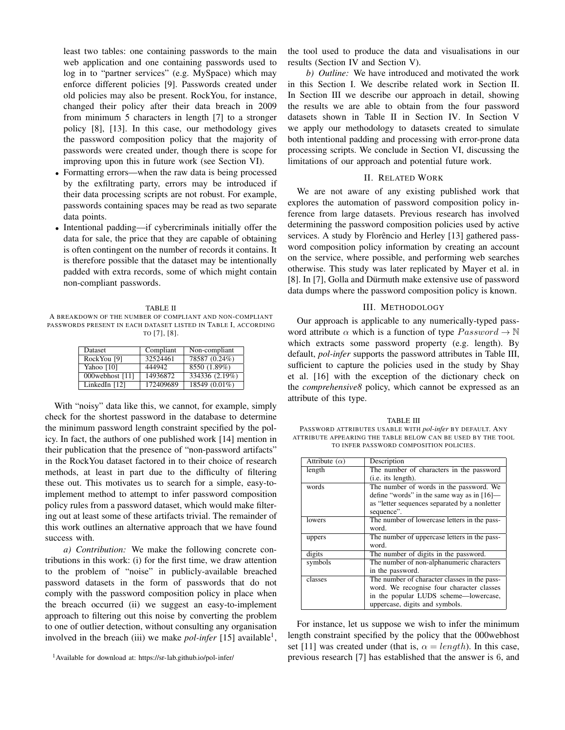least two tables: one containing passwords to the main web application and one containing passwords used to log in to "partner services" (e.g. MySpace) which may enforce different policies [9]. Passwords created under old policies may also be present. RockYou, for instance, changed their policy after their data breach in 2009 from minimum 5 characters in length [7] to a stronger policy [8], [13]. In this case, our methodology gives the password composition policy that the majority of passwords were created under, though there is scope for improving upon this in future work (see Section VI).

- Formatting errors—when the raw data is being processed by the exfiltrating party, errors may be introduced if their data processing scripts are not robust. For example, passwords containing spaces may be read as two separate data points.
- Intentional padding—if cybercriminals initially offer the data for sale, the price that they are capable of obtaining is often contingent on the number of records it contains. It is therefore possible that the dataset may be intentionally padded with extra records, some of which might contain non-compliant passwords.

TABLE II A BREAKDOWN OF THE NUMBER OF COMPLIANT AND NON-COMPLIANT PASSWORDS PRESENT IN EACH DATASET LISTED IN TABLE I, ACCORDING TO [7], [8].

| <b>Dataset</b>  | Compliant | Non-compliant  |
|-----------------|-----------|----------------|
| RockYou [9]     | 32524461  | 78587 (0.24%)  |
| Yahoo [10]      | 444942    | 8550 (1.89%)   |
| 000webhost [11] | 14936872  | 334336 (2.19%) |
| LinkedIn [12]   | 172409689 | 18549 (0.01%)  |

With "noisy" data like this, we cannot, for example, simply check for the shortest password in the database to determine the minimum password length constraint specified by the policy. In fact, the authors of one published work [14] mention in their publication that the presence of "non-password artifacts" in the RockYou dataset factored in to their choice of research methods, at least in part due to the difficulty of filtering these out. This motivates us to search for a simple, easy-toimplement method to attempt to infer password composition policy rules from a password dataset, which would make filtering out at least some of these artifacts trivial. The remainder of this work outlines an alternative approach that we have found success with.

*a) Contribution:* We make the following concrete contributions in this work: (i) for the first time, we draw attention to the problem of "noise" in publicly-available breached password datasets in the form of passwords that do not comply with the password composition policy in place when the breach occurred (ii) we suggest an easy-to-implement approach to filtering out this noise by converting the problem to one of outlier detection, without consulting any organisation involved in the breach (iii) we make *pol-infer* [15] available<sup>1</sup>,

<sup>1</sup>Available for download at: https://sr-lab.github.io/pol-infer/

the tool used to produce the data and visualisations in our results (Section IV and Section V).

*b) Outline:* We have introduced and motivated the work in this Section I. We describe related work in Section II. In Section III we describe our approach in detail, showing the results we are able to obtain from the four password datasets shown in Table II in Section IV. In Section V we apply our methodology to datasets created to simulate both intentional padding and processing with error-prone data processing scripts. We conclude in Section VI, discussing the limitations of our approach and potential future work.

## II. RELATED WORK

We are not aware of any existing published work that explores the automation of password composition policy inference from large datasets. Previous research has involved determining the password composition policies used by active services. A study by Florêncio and Herley [13] gathered password composition policy information by creating an account on the service, where possible, and performing web searches otherwise. This study was later replicated by Mayer et al. in [8]. In [7], Golla and Dürmuth make extensive use of password data dumps where the password composition policy is known.

### III. METHODOLOGY

Our approach is applicable to any numerically-typed password attribute  $\alpha$  which is a function of type  $P$  assword  $\rightarrow \mathbb{N}$ which extracts some password property (e.g. length). By default, *pol-infer* supports the password attributes in Table III, sufficient to capture the policies used in the study by Shay et al. [16] with the exception of the dictionary check on the *comprehensive8* policy, which cannot be expressed as an attribute of this type.

TABLE III PASSWORD ATTRIBUTES USABLE WITH *pol-infer* BY DEFAULT. ANY ATTRIBUTE APPEARING THE TABLE BELOW CAN BE USED BY THE TOOL TO INFER PASSWORD COMPOSITION POLICIES.

| Attribute $(\alpha)$ | Description                                   |
|----------------------|-----------------------------------------------|
| length               | The number of characters in the password      |
|                      | (i.e. its length).                            |
| words                | The number of words in the password. We       |
|                      | define "words" in the same way as in $[16]$ — |
|                      | as "letter sequences separated by a nonletter |
|                      | sequence".                                    |
| lowers               | The number of lowercase letters in the pass-  |
|                      | word.                                         |
| uppers               | The number of uppercase letters in the pass-  |
|                      | word.                                         |
| digits               | The number of digits in the password.         |
| symbols              | The number of non-alphanumeric characters     |
|                      | in the password.                              |
| classes              | The number of character classes in the pass-  |
|                      | word. We recognise four character classes     |
|                      | in the popular LUDS scheme—lowercase,         |
|                      | uppercase, digits and symbols.                |

For instance, let us suppose we wish to infer the minimum length constraint specified by the policy that the 000webhost set [11] was created under (that is,  $\alpha = length$ ). In this case, previous research [7] has established that the answer is 6, and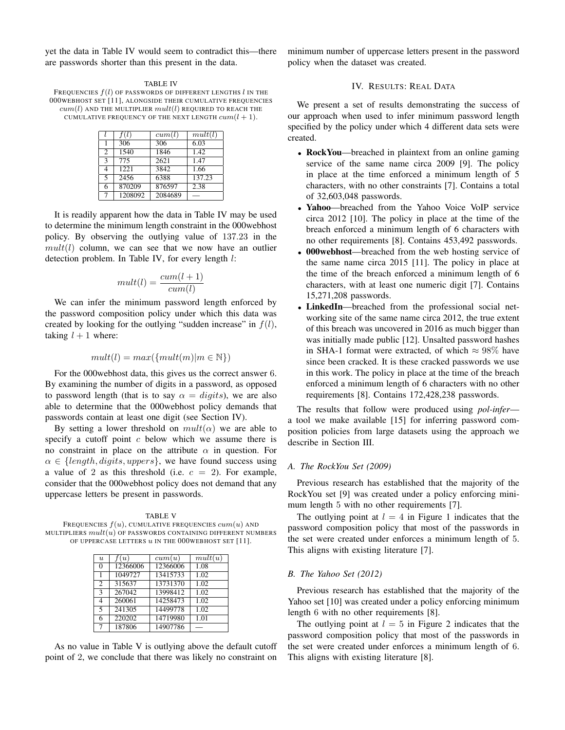yet the data in Table IV would seem to contradict this—there are passwords shorter than this present in the data.

TABLE IV FREQUENCIES  $f(l)$  OF PASSWORDS OF DIFFERENT LENGTHS  $l$  in the 000WEBHOST SET [11], ALONGSIDE THEIR CUMULATIVE FREQUENCIES  $cum(l)$  and the multiplier  $mult(l)$  required to reach the CUMULATIVE FREQUENCY OF THE NEXT LENGTH  $cum(l + 1)$ .

|                          | f(l)    | cum(l)  | mult(l) |
|--------------------------|---------|---------|---------|
|                          | 306     | 306     | 6.03    |
| 2                        | 1540    | 1846    | 1.42    |
| $\overline{\mathcal{E}}$ | 775     | 2621    | 1.47    |
| 4                        | 1221    | 3842    | 1.66    |
| $\overline{\phantom{0}}$ | 2456    | 6388    | 137.23  |
| 6                        | 870209  | 876597  | 2.38    |
|                          | 1208092 | 2084689 |         |

It is readily apparent how the data in Table IV may be used to determine the minimum length constraint in the 000webhost policy. By observing the outlying value of 137.23 in the  $mult(l)$  column, we can see that we now have an outlier detection problem. In Table IV, for every length l:

$$
mult(l) = \frac{cum(l+1)}{cum(l)}
$$

We can infer the minimum password length enforced by the password composition policy under which this data was created by looking for the outlying "sudden increase" in  $f(l)$ , taking  $l + 1$  where:

$$
mult(l) = max(\{mult(m)|m \in \mathbb{N}\})
$$

For the 000webhost data, this gives us the correct answer 6. By examining the number of digits in a password, as opposed to password length (that is to say  $\alpha = \text{digits}$ ), we are also able to determine that the 000webhost policy demands that passwords contain at least one digit (see Section IV).

By setting a lower threshold on  $mult(\alpha)$  we are able to specify a cutoff point  $c$  below which we assume there is no constraint in place on the attribute  $\alpha$  in question. For  $\alpha \in \{length, digits, uppers\}$ , we have found success using a value of 2 as this threshold (i.e.  $c = 2$ ). For example, consider that the 000webhost policy does not demand that any uppercase letters be present in passwords.

TABLE V FREQUENCIES  $f(u)$ , CUMULATIVE FREQUENCIES  $cum(u)$  AND MULTIPLIERS  $mult(u)$  OF PASSWORDS CONTAINING DIFFERENT NUMBERS OF UPPERCASE LETTERS  $u$  IN THE 000WEBHOST SET [11].

| $\overline{u}$ | f(u)     | cum(u)   | mult(u) |
|----------------|----------|----------|---------|
| $\theta$       | 12366006 | 12366006 | 1.08    |
| 1              | 1049727  | 13415733 | 1.02    |
| $\overline{2}$ | 315637   | 13731370 | 1.02    |
| 3              | 267042   | 13998412 | 1.02    |
| $\overline{4}$ | 260061   | 14258473 | 1.02    |
| 5              | 241305   | 14499778 | 1.02    |
| 6              | 220202   | 14719980 | 1.01    |
| 7              | 187806   | 14907786 |         |

As no value in Table V is outlying above the default cutoff point of 2, we conclude that there was likely no constraint on minimum number of uppercase letters present in the password policy when the dataset was created.

## IV. RESULTS: REAL DATA

We present a set of results demonstrating the success of our approach when used to infer minimum password length specified by the policy under which 4 different data sets were created.

- RockYou—breached in plaintext from an online gaming service of the same name circa 2009 [9]. The policy in place at the time enforced a minimum length of 5 characters, with no other constraints [7]. Contains a total of 32,603,048 passwords.
- Yahoo—breached from the Yahoo Voice VoIP service circa 2012 [10]. The policy in place at the time of the breach enforced a minimum length of 6 characters with no other requirements [8]. Contains 453,492 passwords.
- 000 webhost—breached from the web hosting service of the same name circa 2015 [11]. The policy in place at the time of the breach enforced a minimum length of 6 characters, with at least one numeric digit [7]. Contains 15,271,208 passwords.
- LinkedIn—breached from the professional social networking site of the same name circa 2012, the true extent of this breach was uncovered in 2016 as much bigger than was initially made public [12]. Unsalted password hashes in SHA-1 format were extracted, of which  $\approx 98\%$  have since been cracked. It is these cracked passwords we use in this work. The policy in place at the time of the breach enforced a minimum length of 6 characters with no other requirements [8]. Contains 172,428,238 passwords.

The results that follow were produced using *pol-infer* a tool we make available [15] for inferring password composition policies from large datasets using the approach we describe in Section III.

## *A. The RockYou Set (2009)*

Previous research has established that the majority of the RockYou set [9] was created under a policy enforcing minimum length 5 with no other requirements [7].

The outlying point at  $l = 4$  in Figure 1 indicates that the password composition policy that most of the passwords in the set were created under enforces a minimum length of 5. This aligns with existing literature [7].

#### *B. The Yahoo Set (2012)*

Previous research has established that the majority of the Yahoo set [10] was created under a policy enforcing minimum length 6 with no other requirements [8].

The outlying point at  $l = 5$  in Figure 2 indicates that the password composition policy that most of the passwords in the set were created under enforces a minimum length of 6. This aligns with existing literature [8].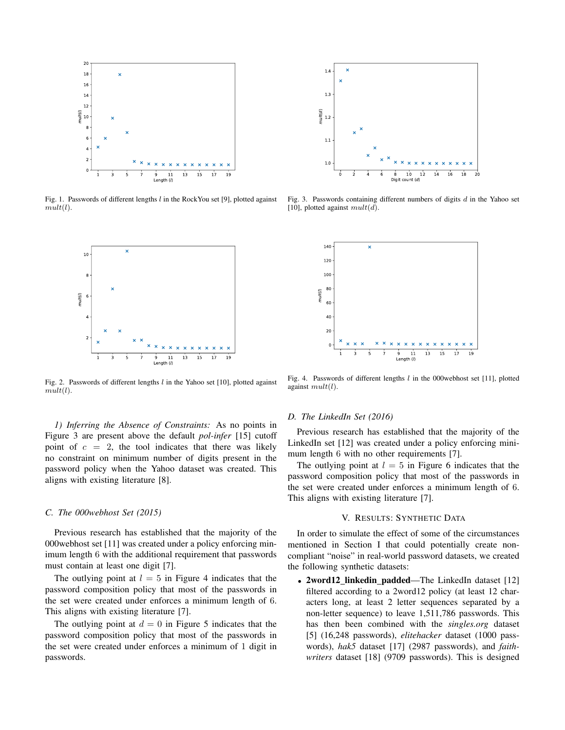

Fig. 1. Passwords of different lengths  $l$  in the RockYou set [9], plotted against  $mult(l).$ 



Fig. 2. Passwords of different lengths  $l$  in the Yahoo set [10], plotted against  $mult(l).$ 

*1) Inferring the Absence of Constraints:* As no points in Figure 3 are present above the default *pol-infer* [15] cutoff point of  $c = 2$ , the tool indicates that there was likely no constraint on minimum number of digits present in the password policy when the Yahoo dataset was created. This aligns with existing literature [8].

#### *C. The 000webhost Set (2015)*

Previous research has established that the majority of the 000webhost set [11] was created under a policy enforcing minimum length 6 with the additional requirement that passwords must contain at least one digit [7].

The outlying point at  $l = 5$  in Figure 4 indicates that the password composition policy that most of the passwords in the set were created under enforces a minimum length of 6. This aligns with existing literature [7].

The outlying point at  $d = 0$  in Figure 5 indicates that the password composition policy that most of the passwords in the set were created under enforces a minimum of 1 digit in passwords.



Fig. 3. Passwords containing different numbers of digits  $d$  in the Yahoo set [10], plotted against  $mult(d)$ .



Fig. 4. Passwords of different lengths  $l$  in the 000webhost set [11], plotted against  $mult(l)$ .

#### *D. The LinkedIn Set (2016)*

Previous research has established that the majority of the LinkedIn set [12] was created under a policy enforcing minimum length 6 with no other requirements [7].

The outlying point at  $l = 5$  in Figure 6 indicates that the password composition policy that most of the passwords in the set were created under enforces a minimum length of 6. This aligns with existing literature [7].

#### V. RESULTS: SYNTHETIC DATA

In order to simulate the effect of some of the circumstances mentioned in Section I that could potentially create noncompliant "noise" in real-world password datasets, we created the following synthetic datasets:

• 2word12 linkedin padded—The LinkedIn dataset [12] filtered according to a 2word12 policy (at least 12 characters long, at least 2 letter sequences separated by a non-letter sequence) to leave 1,511,786 passwords. This has then been combined with the *singles.org* dataset [5] (16,248 passwords), *elitehacker* dataset (1000 passwords), *hak5* dataset [17] (2987 passwords), and *faithwriters* dataset [18] (9709 passwords). This is designed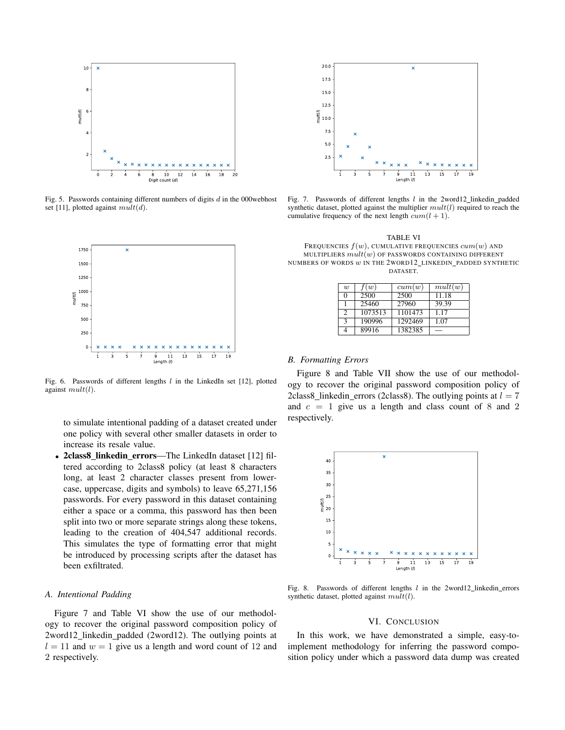

Fig. 5. Passwords containing different numbers of digits  $d$  in the 000 webhost set [11], plotted against  $mult(d)$ .



Fig. 6. Passwords of different lengths  $l$  in the LinkedIn set [12], plotted against  $mult(l)$ .

to simulate intentional padding of a dataset created under one policy with several other smaller datasets in order to increase its resale value.

• 2class8 linkedin errors—The LinkedIn dataset [12] filtered according to 2class8 policy (at least 8 characters long, at least 2 character classes present from lowercase, uppercase, digits and symbols) to leave 65,271,156 passwords. For every password in this dataset containing either a space or a comma, this password has then been split into two or more separate strings along these tokens, leading to the creation of 404,547 additional records. This simulates the type of formatting error that might be introduced by processing scripts after the dataset has been exfiltrated.

#### *A. Intentional Padding*

Figure 7 and Table VI show the use of our methodology to recover the original password composition policy of 2word12 linkedin padded (2word12). The outlying points at  $l = 11$  and  $w = 1$  give us a length and word count of 12 and 2 respectively.



Fig. 7. Passwords of different lengths  $l$  in the 2word12 linkedin padded synthetic dataset, plotted against the multiplier  $mult(l)$  required to reach the cumulative frequency of the next length  $cum(l + 1)$ .

TABLE VI

FREQUENCIES  $f(w)$ , CUMULATIVE FREQUENCIES  $cum(w)$  AND MULTIPLIERS  $mult(w)$  OF PASSWORDS CONTAINING DIFFERENT NUMBERS OF WORDS w IN THE 2WORD12 LINKEDIN PADDED SYNTHETIC DATASET.

| $\overline{w}$ | f(w)    | cum(w)  | mult(w) |
|----------------|---------|---------|---------|
| ∩              | 2500    | 2500    | 11.18   |
|                | 25460   | 27960   | 39.39   |
| C              | 1073513 | 1101473 | 1.17    |
| $\mathcal{R}$  | 190996  | 1292469 | 1.07    |
|                | 89916   | 1382385 |         |

### *B. Formatting Errors*

Figure 8 and Table VII show the use of our methodology to recover the original password composition policy of 2class8\_linkedin\_errors (2class8). The outlying points at  $l = 7$ and  $c = 1$  give us a length and class count of 8 and 2 respectively.



Fig. 8. Passwords of different lengths  $l$  in the 2word12\_linkedin\_errors synthetic dataset, plotted against  $mult(l)$ .

### VI. CONCLUSION

In this work, we have demonstrated a simple, easy-toimplement methodology for inferring the password composition policy under which a password data dump was created